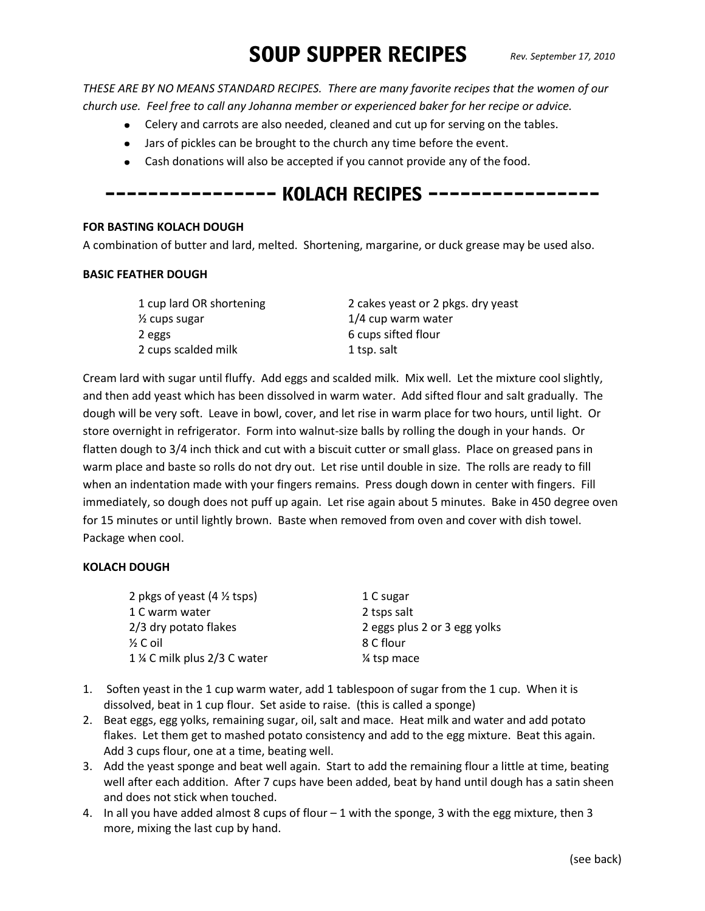# SOUP SUPPER RECIPES *Rev. September 17, 2010*

*THESE ARE BY NO MEANS STANDARD RECIPES. There are many favorite recipes that the women of our church use. Feel free to call any Johanna member or experienced baker for her recipe or advice.*

- Celery and carrots are also needed, cleaned and cut up for serving on the tables.
- Jars of pickles can be brought to the church any time before the event.
- Cash donations will also be accepted if you cannot provide any of the food.

# ---------------- KOLACH RECIPES ----------------

### **FOR BASTING KOLACH DOUGH**

A combination of butter and lard, melted. Shortening, margarine, or duck grease may be used also.

#### **BASIC FEATHER DOUGH**

| 2 cakes yeast or 2 pkgs. dry yeast |
|------------------------------------|
| 1/4 cup warm water                 |
| 6 cups sifted flour                |
| 1 tsp. salt                        |
|                                    |

Cream lard with sugar until fluffy. Add eggs and scalded milk. Mix well. Let the mixture cool slightly, and then add yeast which has been dissolved in warm water. Add sifted flour and salt gradually. The dough will be very soft. Leave in bowl, cover, and let rise in warm place for two hours, until light. Or store overnight in refrigerator. Form into walnut-size balls by rolling the dough in your hands. Or flatten dough to 3/4 inch thick and cut with a biscuit cutter or small glass. Place on greased pans in warm place and baste so rolls do not dry out. Let rise until double in size. The rolls are ready to fill when an indentation made with your fingers remains. Press dough down in center with fingers. Fill immediately, so dough does not puff up again. Let rise again about 5 minutes. Bake in 450 degree oven for 15 minutes or until lightly brown. Baste when removed from oven and cover with dish towel. Package when cool.

## **KOLACH DOUGH**

| 2 pkgs of yeast $(4 \frac{1}{2} \text{ tsp})$ | 1 C sugar                    |
|-----------------------------------------------|------------------------------|
| 1 C warm water                                | 2 tsps salt                  |
| 2/3 dry potato flakes                         | 2 eggs plus 2 or 3 egg yolks |
| $\frac{1}{2}$ C oil                           | 8 C flour                    |
| 1 % C milk plus 2/3 C water                   | 1/4 tsp mace                 |

- 1. Soften yeast in the 1 cup warm water, add 1 tablespoon of sugar from the 1 cup. When it is dissolved, beat in 1 cup flour. Set aside to raise. (this is called a sponge)
- 2. Beat eggs, egg yolks, remaining sugar, oil, salt and mace. Heat milk and water and add potato flakes. Let them get to mashed potato consistency and add to the egg mixture. Beat this again. Add 3 cups flour, one at a time, beating well.
- 3. Add the yeast sponge and beat well again. Start to add the remaining flour a little at time, beating well after each addition. After 7 cups have been added, beat by hand until dough has a satin sheen and does not stick when touched.
- 4. In all you have added almost 8 cups of flour 1 with the sponge, 3 with the egg mixture, then 3 more, mixing the last cup by hand.